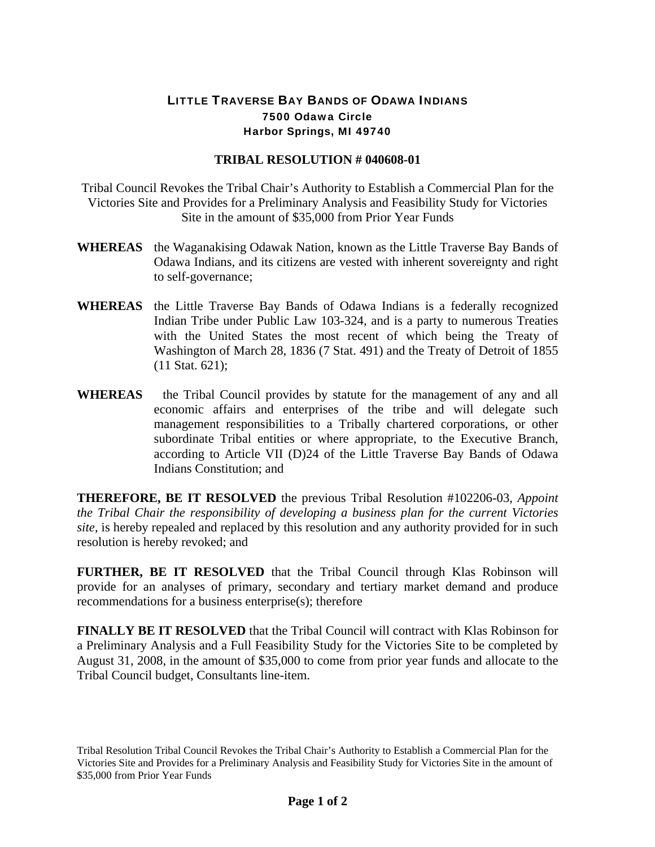## LITTLE TRAVERSE BAY BANDS OF ODAWA INDIANS 7500 Odawa Circle Harbor Springs, MI 49740

## **TRIBAL RESOLUTION # 040608-01**

Tribal Council Revokes the Tribal Chair's Authority to Establish a Commercial Plan for the Victories Site and Provides for a Preliminary Analysis and Feasibility Study for Victories Site in the amount of \$35,000 from Prior Year Funds

- **WHEREAS** the Waganakising Odawak Nation, known as the Little Traverse Bay Bands of Odawa Indians, and its citizens are vested with inherent sovereignty and right to self-governance;
- **WHEREAS** the Little Traverse Bay Bands of Odawa Indians is a federally recognized Indian Tribe under Public Law 103-324, and is a party to numerous Treaties with the United States the most recent of which being the Treaty of Washington of March 28, 1836 (7 Stat. 491) and the Treaty of Detroit of 1855 (11 Stat. 621);
- **WHEREAS** the Tribal Council provides by statute for the management of any and all economic affairs and enterprises of the tribe and will delegate such management responsibilities to a Tribally chartered corporations, or other subordinate Tribal entities or where appropriate, to the Executive Branch, according to Article VII (D)24 of the Little Traverse Bay Bands of Odawa Indians Constitution; and

**THEREFORE, BE IT RESOLVED** the previous Tribal Resolution #102206-03, *Appoint the Tribal Chair the responsibility of developing a business plan for the current Victories site*, is hereby repealed and replaced by this resolution and any authority provided for in such resolution is hereby revoked; and

**FURTHER, BE IT RESOLVED** that the Tribal Council through Klas Robinson will provide for an analyses of primary, secondary and tertiary market demand and produce recommendations for a business enterprise(s); therefore

**FINALLY BE IT RESOLVED** that the Tribal Council will contract with Klas Robinson for a Preliminary Analysis and a Full Feasibility Study for the Victories Site to be completed by August 31, 2008, in the amount of \$35,000 to come from prior year funds and allocate to the Tribal Council budget, Consultants line-item.

Tribal Resolution Tribal Council Revokes the Tribal Chair's Authority to Establish a Commercial Plan for the Victories Site and Provides for a Preliminary Analysis and Feasibility Study for Victories Site in the amount of \$35,000 from Prior Year Funds